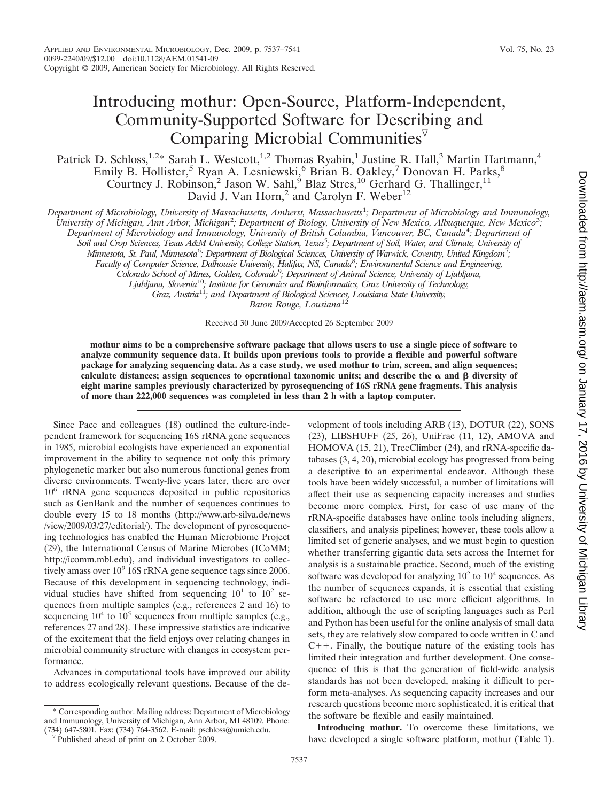## Introducing mothur: Open-Source, Platform-Independent, Community-Supported Software for Describing and Comparing Microbial Communities $\nabla$

Patrick D. Schloss,<sup>1,2\*</sup> Sarah L. Westcott,<sup>1,2</sup> Thomas Ryabin,<sup>1</sup> Justine R. Hall,<sup>3</sup> Martin Hartmann,<sup>4</sup> Emily B. Hollister,<sup>5</sup> Ryan A. Lesniewski,<sup>6</sup> Brian B. Oakley,<sup>7</sup> Donovan H. Parks,<sup>8</sup> Courtney J. Robinson,<sup>2</sup> Jason W. Sahl,<sup>9</sup> Blaz Stres,<sup>10</sup> Gerhard G. Thallinger,<sup>11</sup> David J. Van Horn,<sup>2</sup> and Carolyn F. Weber<sup>12</sup>

*Department of Microbiology, University of Massachusetts, Amherst, Massachusetts*<sup>1</sup> *; Department of Microbiology and Immunology,* University of Michigan, Ann Arbor, Michigan<sup>2</sup>; Department of Biology, University of New Mexico, Albuquerque, New Mexico<sup>3</sup>;

*Department of Microbiology and Immunology, University of British Columbia, Vancouver, BC, Canada*<sup>4</sup> *; Department of*

*Soil and Crop Sciences, Texas A&M University, College Station, Texas*<sup>5</sup> *; Department of Soil, Water, and Climate, University of*

*Minnesota, St. Paul, Minnesota*<sup>6</sup> *; Department of Biological Sciences, University of Warwick, Coventry, United Kingdom*<sup>7</sup> *;*

*Faculty of Computer Science, Dalhousie University, Halifax, NS, Canada*<sup>8</sup> *; Environmental Science and Engineering,*

*Colorado School of Mines, Golden, Colorado*<sup>9</sup> *; Department of Animal Science, University of Ljubljana,*

*Ljubljana, Slovenia*10*; Institute for Genomics and Bioinformatics, Graz University of Technology,*

*Graz, Austria*11*; and Department of Biological Sciences, Louisiana State University,*

*Baton Rouge, Lousiana*<sup>12</sup>

Received 30 June 2009/Accepted 26 September 2009

**mothur aims to be a comprehensive software package that allows users to use a single piece of software to analyze community sequence data. It builds upon previous tools to provide a flexible and powerful software package for analyzing sequencing data. As a case study, we used mothur to trim, screen, and align sequences;** calculate distances; assign sequences to operational taxonomic units; and describe the  $\alpha$  and  $\beta$  diversity of **eight marine samples previously characterized by pyrosequencing of 16S rRNA gene fragments. This analysis of more than 222,000 sequences was completed in less than 2 h with a laptop computer.**

Since Pace and colleagues (18) outlined the culture-independent framework for sequencing 16S rRNA gene sequences in 1985, microbial ecologists have experienced an exponential improvement in the ability to sequence not only this primary phylogenetic marker but also numerous functional genes from diverse environments. Twenty-five years later, there are over 106 rRNA gene sequences deposited in public repositories such as GenBank and the number of sequences continues to double every 15 to 18 months (http://www.arb-silva.de/news /view/2009/03/27/editorial/). The development of pyrosequencing technologies has enabled the Human Microbiome Project (29), the International Census of Marine Microbes (ICoMM; http://icomm.mbl.edu), and individual investigators to collectively amass over  $10^9$  16S rRNA gene sequence tags since 2006. Because of this development in sequencing technology, individual studies have shifted from sequencing  $10^1$  to  $10^2$  sequences from multiple samples (e.g., references 2 and 16) to sequencing  $10^4$  to  $10^5$  sequences from multiple samples (e.g., references 27 and 28). These impressive statistics are indicative of the excitement that the field enjoys over relating changes in microbial community structure with changes in ecosystem performance.

Advances in computational tools have improved our ability to address ecologically relevant questions. Because of the de-

Corresponding author. Mailing address: Department of Microbiology and Immunology, University of Michigan, Ann Arbor, MI 48109. Phone: velopment of tools including ARB (13), DOTUR (22), SONS (23), LIBSHUFF (25, 26), UniFrac (11, 12), AMOVA and HOMOVA (15, 21), TreeClimber (24), and rRNA-specific databases (3, 4, 20), microbial ecology has progressed from being a descriptive to an experimental endeavor. Although these tools have been widely successful, a number of limitations will affect their use as sequencing capacity increases and studies become more complex. First, for ease of use many of the rRNA-specific databases have online tools including aligners, classifiers, and analysis pipelines; however, these tools allow a limited set of generic analyses, and we must begin to question whether transferring gigantic data sets across the Internet for analysis is a sustainable practice. Second, much of the existing software was developed for analyzing  $10^2$  to  $10^4$  sequences. As the number of sequences expands, it is essential that existing software be refactored to use more efficient algorithms. In addition, although the use of scripting languages such as Perl and Python has been useful for the online analysis of small data sets, they are relatively slow compared to code written in C and  $C++$ . Finally, the boutique nature of the existing tools has limited their integration and further development. One consequence of this is that the generation of field-wide analysis standards has not been developed, making it difficult to perform meta-analyses. As sequencing capacity increases and our research questions become more sophisticated, it is critical that the software be flexible and easily maintained.

**Introducing mothur.** To overcome these limitations, we have developed a single software platform, mothur (Table 1).

<sup>(734) 647-5801.</sup> Fax: (734) 764-3562. E-mail: pschloss@umich.edu.  $\nabla$  Published ahead of print on 2 October 2009.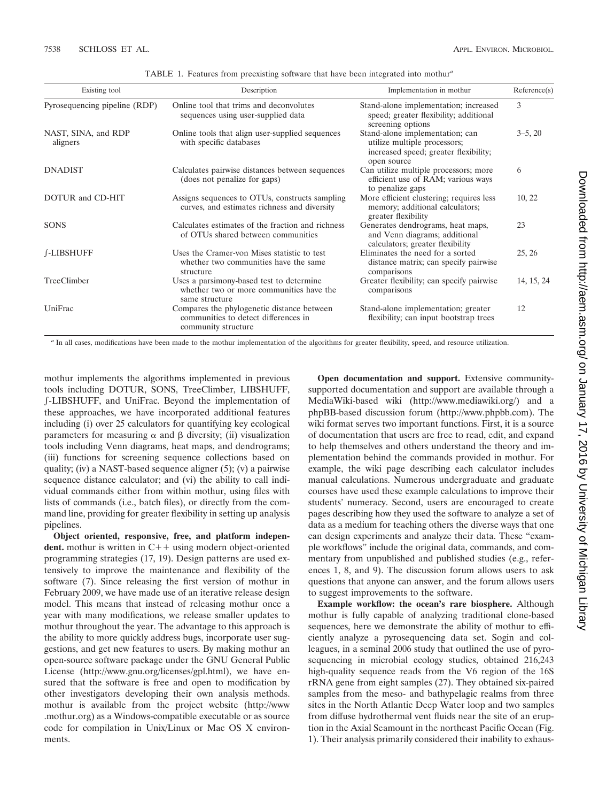| Existing tool                   | Description                                                                                                                                                                        | Implementation in mothur                                                                                                | Reference(s) |  |
|---------------------------------|------------------------------------------------------------------------------------------------------------------------------------------------------------------------------------|-------------------------------------------------------------------------------------------------------------------------|--------------|--|
| Pyrosequencing pipeline (RDP)   | Online tool that trims and deconvolutes<br>sequences using user-supplied data                                                                                                      | Stand-alone implementation; increased<br>speed; greater flexibility; additional<br>screening options                    | 3            |  |
| NAST, SINA, and RDP<br>aligners | Online tools that align user-supplied sequences<br>with specific databases                                                                                                         | Stand-alone implementation; can<br>utilize multiple processors;<br>increased speed; greater flexibility;<br>open source | $3-5, 20$    |  |
| <b>DNADIST</b>                  | Can utilize multiple processors; more<br>Calculates pairwise distances between sequences<br>efficient use of RAM; various ways<br>(does not penalize for gaps)<br>to penalize gaps |                                                                                                                         | 6            |  |
| DOTUR and CD-HIT                | Assigns sequences to OTUs, constructs sampling<br>curves, and estimates richness and diversity                                                                                     | More efficient clustering; requires less<br>memory; additional calculators;<br>greater flexibility                      | 10, 22       |  |
| <b>SONS</b>                     | Calculates estimates of the fraction and richness<br>of OTUs shared between communities                                                                                            | Generates dendrograms, heat maps,<br>and Venn diagrams; additional<br>calculators; greater flexibility                  | 23           |  |
| <b>f-LIBSHUFF</b>               | Uses the Cramer-von Mises statistic to test<br>whether two communities have the same<br>structure                                                                                  | Eliminates the need for a sorted<br>distance matrix; can specify pairwise<br>comparisons                                | 25, 26       |  |
| TreeClimber                     | Uses a parsimony-based test to determine<br>Greater flexibility; can specify pairwise<br>whether two or more communities have the<br>comparisons<br>same structure                 |                                                                                                                         | 14, 15, 24   |  |
| UniFrac                         | Compares the phylogenetic distance between<br>communities to detect differences in<br>community structure                                                                          | Stand-alone implementation; greater<br>flexibility; can input bootstrap trees                                           | 12           |  |

TABLE 1. Features from preexisting software that have been integrated into mothur*<sup>a</sup>*

*<sup>a</sup>* In all cases, modifications have been made to the mothur implementation of the algorithms for greater flexibility, speed, and resource utilization.

mothur implements the algorithms implemented in previous tools including DOTUR, SONS, TreeClimber, LIBSHUFF, --LIBSHUFF, and UniFrac. Beyond the implementation of these approaches, we have incorporated additional features including (i) over 25 calculators for quantifying key ecological parameters for measuring  $\alpha$  and  $\beta$  diversity; (ii) visualization tools including Venn diagrams, heat maps, and dendrograms; (iii) functions for screening sequence collections based on quality; (iv) a NAST-based sequence aligner (5); (v) a pairwise sequence distance calculator; and (vi) the ability to call individual commands either from within mothur, using files with lists of commands (i.e., batch files), or directly from the command line, providing for greater flexibility in setting up analysis pipelines.

**Object oriented, responsive, free, and platform independent.** mothur is written in  $C++$  using modern object-oriented programming strategies (17, 19). Design patterns are used extensively to improve the maintenance and flexibility of the software (7). Since releasing the first version of mothur in February 2009, we have made use of an iterative release design model. This means that instead of releasing mothur once a year with many modifications, we release smaller updates to mothur throughout the year. The advantage to this approach is the ability to more quickly address bugs, incorporate user suggestions, and get new features to users. By making mothur an open-source software package under the GNU General Public License (http://www.gnu.org/licenses/gpl.html), we have ensured that the software is free and open to modification by other investigators developing their own analysis methods. mothur is available from the project website (http://www .mothur.org) as a Windows-compatible executable or as source code for compilation in Unix/Linux or Mac OS X environments.

**Open documentation and support.** Extensive communitysupported documentation and support are available through a MediaWiki-based wiki (http://www.mediawiki.org/) and a phpBB-based discussion forum (http://www.phpbb.com). The wiki format serves two important functions. First, it is a source of documentation that users are free to read, edit, and expand to help themselves and others understand the theory and implementation behind the commands provided in mothur. For example, the wiki page describing each calculator includes manual calculations. Numerous undergraduate and graduate courses have used these example calculations to improve their students' numeracy. Second, users are encouraged to create pages describing how they used the software to analyze a set of data as a medium for teaching others the diverse ways that one can design experiments and analyze their data. These "example workflows" include the original data, commands, and commentary from unpublished and published studies (e.g., references 1, 8, and 9). The discussion forum allows users to ask questions that anyone can answer, and the forum allows users to suggest improvements to the software.

**Example workflow: the ocean's rare biosphere.** Although mothur is fully capable of analyzing traditional clone-based sequences, here we demonstrate the ability of mothur to efficiently analyze a pyrosequencing data set. Sogin and colleagues, in a seminal 2006 study that outlined the use of pyrosequencing in microbial ecology studies, obtained 216,243 high-quality sequence reads from the V6 region of the 16S rRNA gene from eight samples (27). They obtained six-paired samples from the meso- and bathypelagic realms from three sites in the North Atlantic Deep Water loop and two samples from diffuse hydrothermal vent fluids near the site of an eruption in the Axial Seamount in the northeast Pacific Ocean (Fig. 1). Their analysis primarily considered their inability to exhaus-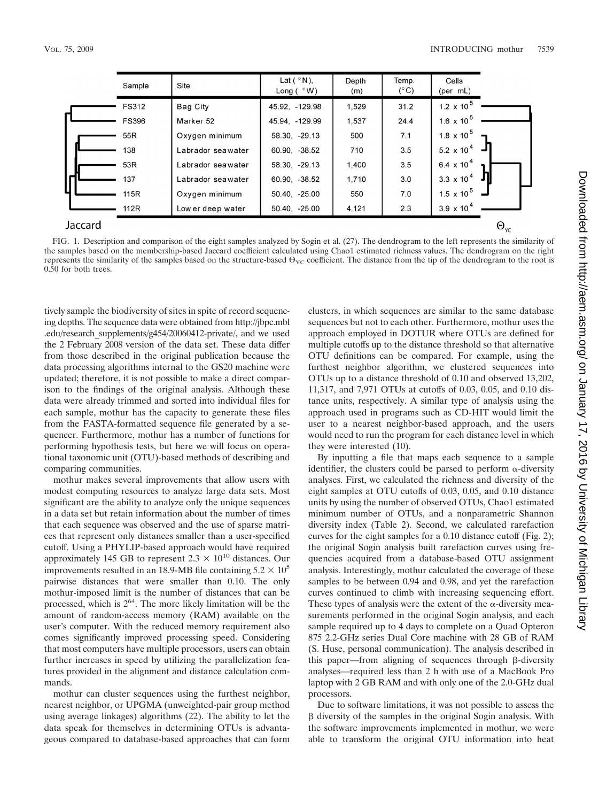|         | Sample       | Site              | Lat ( $^{\circ}$ N),<br>Long $(°W)$ | Depth<br>(m) | Temp.<br>$(^{\circ}C)$ | Cells<br>(per mL)            |                   |
|---------|--------------|-------------------|-------------------------------------|--------------|------------------------|------------------------------|-------------------|
|         | <b>FS312</b> | <b>Bag City</b>   | 45.92, -129.98                      | 1,529        | 31.2                   | 1.2 $\times$ 10 <sup>5</sup> |                   |
|         | <b>FS396</b> | Marker 52         | 45.94, -129.99                      | 1,537        | 24.4                   | 1.6 $\times$ 10 <sup>5</sup> |                   |
|         | 55R          | Oxygen minimum    | 58.30, -29.13                       | 500          | 7.1                    | 1.8 x 10 <sup>5</sup>        |                   |
|         | 138          | Labrador seawater | 60.90, -38.52                       | 710          | 3.5                    | 5.2 $\times$ 10 <sup>4</sup> |                   |
|         | 53R          | Labrador seawater | 58.30, -29.13                       | 1,400        | 3.5                    | 6.4 $\times$ 10 <sup>4</sup> |                   |
|         | 137          | Labrador seawater | 60.90. -38.52                       | 1,710        | 3.0                    | $3.3 \times 10^{4}$          |                   |
|         | 115R         | Oxygen minimum    | 50.40, -25.00                       | 550          | 7.0                    | 1.5 x 10 $^{5}$              |                   |
|         | 112R         | Low er deep water | 50.40, -25.00                       | 4,121        | 2.3                    | 3.9 $\times$ 10 <sup>4</sup> |                   |
| Jaccard |              |                   |                                     |              |                        |                              | $\Theta_{\rm vc}$ |

Jaccard

FIG. 1. Description and comparison of the eight samples analyzed by Sogin et al. (27). The dendrogram to the left represents the similarity of the samples based on the membership-based Jaccard coefficient calculated using Chao1 estimated richness values. The dendrogram on the right represents the similarity of the samples based on the structure-based  $\Theta_{\text{YC}}$  coefficient. The distance from the tip of the dendrogram to the root is 0.50 for both trees.

tively sample the biodiversity of sites in spite of record sequencing depths. The sequence data were obtained from http://jbpc.mbl .edu/research\_supplements/g454/20060412-private/, and we used the 2 February 2008 version of the data set. These data differ from those described in the original publication because the data processing algorithms internal to the GS20 machine were updated; therefore, it is not possible to make a direct comparison to the findings of the original analysis. Although these data were already trimmed and sorted into individual files for each sample, mothur has the capacity to generate these files from the FASTA-formatted sequence file generated by a sequencer. Furthermore, mothur has a number of functions for performing hypothesis tests, but here we will focus on operational taxonomic unit (OTU)-based methods of describing and comparing communities.

mothur makes several improvements that allow users with modest computing resources to analyze large data sets. Most significant are the ability to analyze only the unique sequences in a data set but retain information about the number of times that each sequence was observed and the use of sparse matrices that represent only distances smaller than a user-specified cutoff. Using a PHYLIP-based approach would have required approximately 145 GB to represent  $2.3 \times 10^{10}$  distances. Our improvements resulted in an 18.9-MB file containing  $5.2 \times 10^5$ pairwise distances that were smaller than 0.10. The only mothur-imposed limit is the number of distances that can be processed, which is  $2^{64}$ . The more likely limitation will be the amount of random-access memory (RAM) available on the user's computer. With the reduced memory requirement also comes significantly improved processing speed. Considering that most computers have multiple processors, users can obtain further increases in speed by utilizing the parallelization features provided in the alignment and distance calculation commands.

mothur can cluster sequences using the furthest neighbor, nearest neighbor, or UPGMA (unweighted-pair group method using average linkages) algorithms (22). The ability to let the data speak for themselves in determining OTUs is advantageous compared to database-based approaches that can form clusters, in which sequences are similar to the same database sequences but not to each other. Furthermore, mothur uses the approach employed in DOTUR where OTUs are defined for multiple cutoffs up to the distance threshold so that alternative OTU definitions can be compared. For example, using the furthest neighbor algorithm, we clustered sequences into OTUs up to a distance threshold of 0.10 and observed 13,202, 11,317, and 7,971 OTUs at cutoffs of 0.03, 0.05, and 0.10 distance units, respectively. A similar type of analysis using the approach used in programs such as CD-HIT would limit the user to a nearest neighbor-based approach, and the users would need to run the program for each distance level in which they were interested (10).

By inputting a file that maps each sequence to a sample identifier, the clusters could be parsed to perform  $\alpha$ -diversity analyses. First, we calculated the richness and diversity of the eight samples at OTU cutoffs of 0.03, 0.05, and 0.10 distance units by using the number of observed OTUs, Chao1 estimated minimum number of OTUs, and a nonparametric Shannon diversity index (Table 2). Second, we calculated rarefaction curves for the eight samples for a 0.10 distance cutoff (Fig. 2); the original Sogin analysis built rarefaction curves using frequencies acquired from a database-based OTU assignment analysis. Interestingly, mothur calculated the coverage of these samples to be between 0.94 and 0.98, and yet the rarefaction curves continued to climb with increasing sequencing effort. These types of analysis were the extent of the  $\alpha$ -diversity measurements performed in the original Sogin analysis, and each sample required up to 4 days to complete on a Quad Opteron 875 2.2-GHz series Dual Core machine with 28 GB of RAM (S. Huse, personal communication). The analysis described in this paper—from aligning of sequences through  $\beta$ -diversity analyses—required less than 2 h with use of a MacBook Pro laptop with 2 GB RAM and with only one of the 2.0-GHz dual processors.

Due to software limitations, it was not possible to assess the  $\beta$  diversity of the samples in the original Sogin analysis. With the software improvements implemented in mothur, we were able to transform the original OTU information into heat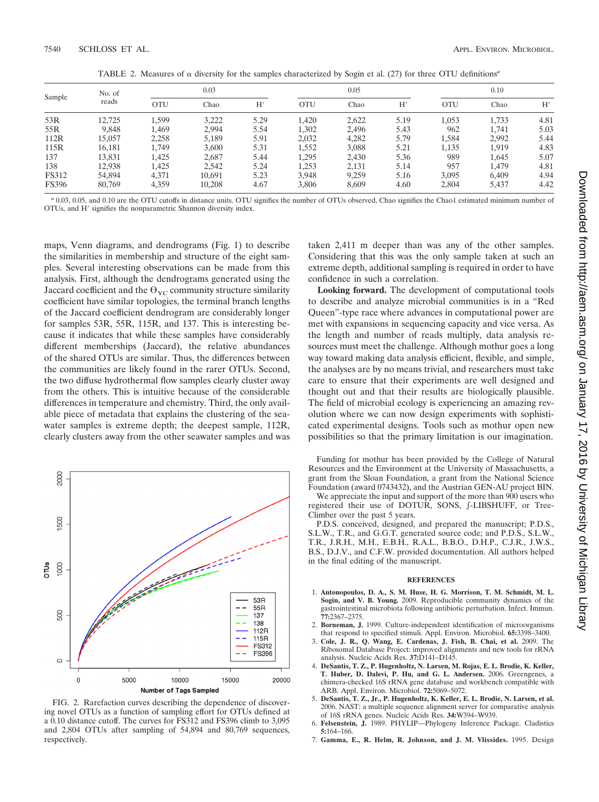| Sample       | No. of | 0.03       |        | 0.05 |            |       | 0.10 |            |       |      |
|--------------|--------|------------|--------|------|------------|-------|------|------------|-------|------|
|              | reads  | <b>OTU</b> | Chao   | H'   | <b>OTU</b> | Chao  | H'   | <b>OTU</b> | Chao  | H'   |
| 53R          | 12,725 | 1,599      | 3,222  | 5.29 | 1,420      | 2,622 | 5.19 | 1,053      | 1,733 | 4.81 |
| 55R          | 9,848  | 1,469      | 2,994  | 5.54 | 1,302      | 2,496 | 5.43 | 962        | 1,741 | 5.03 |
| 112R         | 15,057 | 2,258      | 5,189  | 5.91 | 2,032      | 4,282 | 5.79 | 1,584      | 2,992 | 5.44 |
| 115R         | 16,181 | 1,749      | 3,600  | 5.31 | 1,552      | 3,088 | 5.21 | 1,135      | 1,919 | 4.83 |
| 137          | 13,831 | 1.425      | 2,687  | 5.44 | 1,295      | 2,430 | 5.36 | 989        | 1.645 | 5.07 |
| 138          | 12,938 | 1.425      | 2,542  | 5.24 | 1,253      | 2,131 | 5.14 | 957        | 1.479 | 4.81 |
| <b>FS312</b> | 54,894 | 4.371      | 10.691 | 5.23 | 3.948      | 9,259 | 5.16 | 3.095      | 6.409 | 4.94 |
| <b>FS396</b> | 80,769 | 4,359      | 10,208 | 4.67 | 3,806      | 8,609 | 4.60 | 2,804      | 5,437 | 4.42 |

TABLE 2. Measures of  $\alpha$  diversity for the samples characterized by Sogin et al. (27) for three OTU definitions<sup>*a*</sup>

*<sup>a</sup>* 0.03, 0.05, and 0.10 are the OTU cutoffs in distance units. OTU signifies the number of OTUs observed, Chao signifies the Chao1 estimated minimum number of OTUs, and H' signifies the nonparametric Shannon diversity index.

maps, Venn diagrams, and dendrograms (Fig. 1) to describe the similarities in membership and structure of the eight samples. Several interesting observations can be made from this analysis. First, although the dendrograms generated using the Jaccard coefficient and the  $\Theta_{\text{YC}}$  community structure similarity coefficient have similar topologies, the terminal branch lengths of the Jaccard coefficient dendrogram are considerably longer for samples 53R, 55R, 115R, and 137. This is interesting because it indicates that while these samples have considerably different memberships (Jaccard), the relative abundances of the shared OTUs are similar. Thus, the differences between the communities are likely found in the rarer OTUs. Second, the two diffuse hydrothermal flow samples clearly cluster away from the others. This is intuitive because of the considerable differences in temperature and chemistry. Third, the only available piece of metadata that explains the clustering of the seawater samples is extreme depth; the deepest sample, 112R, clearly clusters away from the other seawater samples and was



FIG. 2. Rarefaction curves describing the dependence of discovering novel OTUs as a function of sampling effort for OTUs defined at a 0.10 distance cutoff. The curves for FS312 and FS396 climb to 3,095 and 2,804 OTUs after sampling of 54,894 and 80,769 sequences, respectively.

taken 2,411 m deeper than was any of the other samples. Considering that this was the only sample taken at such an extreme depth, additional sampling is required in order to have confidence in such a correlation.

**Looking forward.** The development of computational tools to describe and analyze microbial communities is in a "Red Queen"-type race where advances in computational power are met with expansions in sequencing capacity and vice versa. As the length and number of reads multiply, data analysis resources must meet the challenge. Although mothur goes a long way toward making data analysis efficient, flexible, and simple, the analyses are by no means trivial, and researchers must take care to ensure that their experiments are well designed and thought out and that their results are biologically plausible. The field of microbial ecology is experiencing an amazing revolution where we can now design experiments with sophisticated experimental designs. Tools such as mothur open new possibilities so that the primary limitation is our imagination.

Funding for mothur has been provided by the College of Natural Resources and the Environment at the University of Massachusetts, a grant from the Sloan Foundation, a grant from the National Science Foundation (award 0743432), and the Austrian GEN-AU project BIN.

We appreciate the input and support of the more than 900 users who registered their use of DOTUR, SONS, *f*-LIBSHUFF, or Tree-Climber over the past 5 years.

P.D.S. conceived, designed, and prepared the manuscript; P.D.S., S.L.W., T.R., and G.G.T. generated source code; and P.D.S., S.L.W., T.R., J.R.H., M.H., E.B.H., R.A.L., B.B.O., D.H.P., C.J.R., J.W.S., B.S., D.J.V., and C.F.W. provided documentation. All authors helped in the final editing of the manuscript.

## **REFERENCES**

- 1. **Antonopoulos, D. A., S. M. Huse, H. G. Morrison, T. M. Schmidt, M. L. Sogin, and V. B. Young.** 2009. Reproducible community dynamics of the gastrointestinal microbiota following antibiotic perturbation. Infect. Immun. **77:**2367–2375.
- 2. **Borneman, J.** 1999. Culture-independent identification of microorganisms that respond to specified stimuli. Appl. Environ. Microbiol. **65:**3398–3400.
- 3. **Cole, J. R., Q. Wang, E. Cardenas, J. Fish, B. Chai, et al.** 2009. The Ribosomal Database Project: improved alignments and new tools for rRNA analysis. Nucleic Acids Res. **37:**D141–D145.
- 4. **DeSantis, T. Z., P. Hugenholtz, N. Larsen, M. Rojas, E. L. Brodie, K. Keller, T. Huber, D. Dalevi, P. Hu, and G. L. Andersen.** 2006. Greengenes, a chimera-checked 16S rRNA gene database and workbench compatible with ARB. Appl. Environ. Microbiol. **72:**5069–5072.
- 5. **DeSantis, T. Z., Jr., P. Hugenholtz, K. Keller, E. L. Brodie, N. Larsen, et al.** 2006. NAST: a multiple sequence alignment server for comparative analysis of 16S rRNA genes. Nucleic Acids Res. **34:**W394–W939.
- 6. **Felsenstein, J.** 1989. PHYLIP—Phylogeny Inference Package. Cladistics **5:**164–166.
- 7. **Gamma, E., R. Helm, R. Johnson, and J. M. Vlissides.** 1995. Design